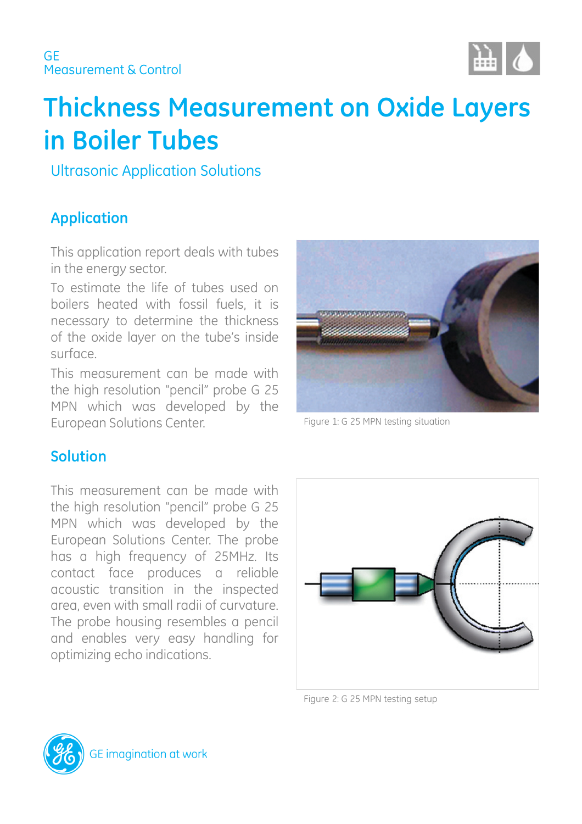

# **Thickness Measurement on Oxide Layers in Boiler Tubes**

Ultrasonic Application Solutions

# **Application**

This application report deals with tubes in the energy sector.

To estimate the life of tubes used on boilers heated with fossil fuels, it is necessary to determine the thickness of the oxide layer on the tube's inside surface.

This measurement can be made with the high resolution "pencil" probe G 25 MPN which was developed by the European Solutions Center. The Summan School of the Summan School and Turn and School and Turn and School and



## **Solution**

This measurement can be made with the high resolution "pencil" probe G 25 MPN which was developed by the European Solutions Center. The probe has a high frequency of 25MHz. Its contact face produces a reliable acoustic transition in the inspected area, even with small radii of curvature. The probe housing resembles a pencil and enables very easy handling for optimizing echo indications.



Figure 2: G 25 MPN testing setup